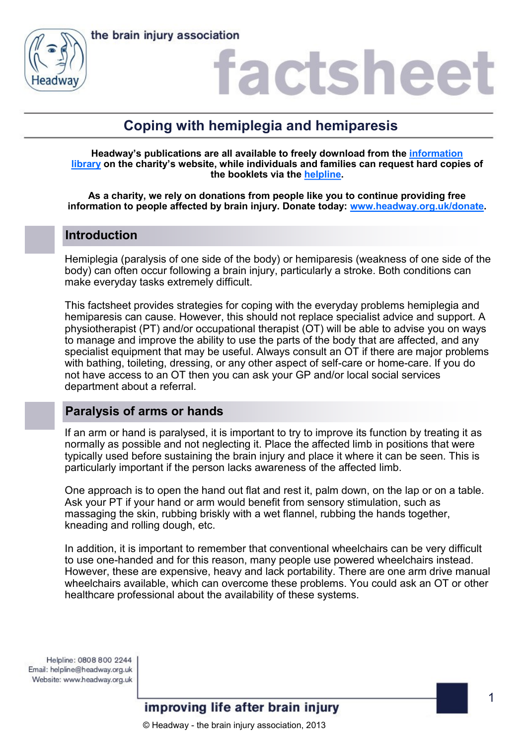

## factsheet

## **Coping with hemiplegia and hemiparesis**

**Headway's publications are all available to freely download from the [information](https://www.headway.org.uk/about-brain-injury/individuals/information-library/)  [library](https://www.headway.org.uk/about-brain-injury/individuals/information-library/) on the charity's website, while individuals and families can request hard copies of the booklets via the [helpline.](https://www.headway.org.uk/supporting-you/helpline/)**

**As a charity, we rely on donations from people like you to continue providing free information to people affected by brain injury. Donate today: [www.headway.org.uk/donate.](http://www.headway.org.uk/donate)**

### **Introduction**

Hemiplegia (paralysis of one side of the body) or hemiparesis (weakness of one side of the body) can often occur following a brain injury, particularly a stroke. Both conditions can make everyday tasks extremely difficult.

This factsheet provides strategies for coping with the everyday problems hemiplegia and hemiparesis can cause. However, this should not replace specialist advice and support. A physiotherapist (PT) and/or occupational therapist (OT) will be able to advise you on ways to manage and improve the ability to use the parts of the body that are affected, and any specialist equipment that may be useful. Always consult an OT if there are major problems with bathing, toileting, dressing, or any other aspect of self-care or home-care. If you do not have access to an OT then you can ask your GP and/or local social services department about a referral.

## **Paralysis of arms or hands**

If an arm or hand is paralysed, it is important to try to improve its function by treating it as normally as possible and not neglecting it. Place the affected limb in positions that were typically used before sustaining the brain injury and place it where it can be seen. This is particularly important if the person lacks awareness of the affected limb.

One approach is to open the hand out flat and rest it, palm down, on the lap or on a table. Ask your PT if your hand or arm would benefit from sensory stimulation, such as massaging the skin, rubbing briskly with a wet flannel, rubbing the hands together, kneading and rolling dough, etc.

In addition, it is important to remember that conventional wheelchairs can be very difficult to use one-handed and for this reason, many people use powered wheelchairs instead. However, these are expensive, heavy and lack portability. There are one arm drive manual wheelchairs available, which can overcome these problems. You could ask an OT or other healthcare professional about the availability of these systems.

Helpline: 0808 800 2244 Email: helpline@headway.org.uk Website: www.headway.org.uk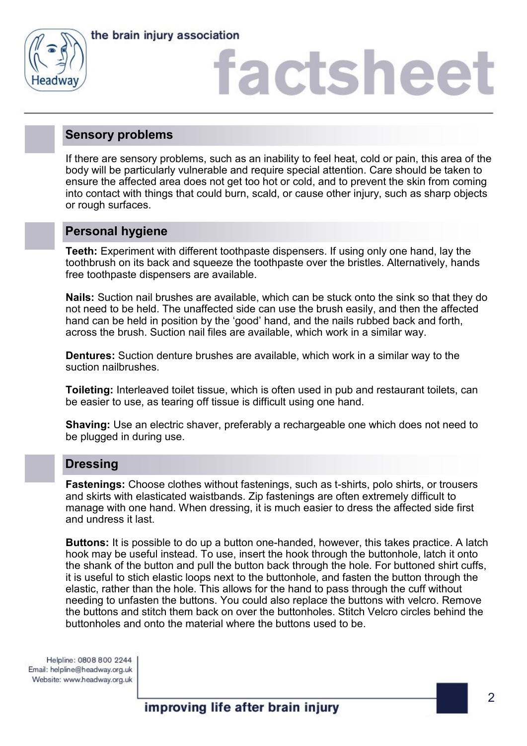

the brain injury association

## factshee<sup>®</sup>

### **Sensory problems**

If there are sensory problems, such as an inability to feel heat, cold or pain, this area of the body will be particularly vulnerable and require special attention. Care should be taken to ensure the affected area does not get too hot or cold, and to prevent the skin from coming into contact with things that could burn, scald, or cause other injury, such as sharp objects or rough surfaces.

### **Personal hygiene**

**Teeth:** Experiment with different toothpaste dispensers. If using only one hand, lay the toothbrush on its back and squeeze the toothpaste over the bristles. Alternatively, hands free toothpaste dispensers are available.

**Nails:** Suction nail brushes are available, which can be stuck onto the sink so that they do not need to be held. The unaffected side can use the brush easily, and then the affected hand can be held in position by the 'good' hand, and the nails rubbed back and forth, across the brush. Suction nail files are available, which work in a similar way.

**Dentures:** Suction denture brushes are available, which work in a similar way to the suction nailbrushes.

**Toileting:** Interleaved toilet tissue, which is often used in pub and restaurant toilets, can be easier to use, as tearing off tissue is difficult using one hand.

**Shaving:** Use an electric shaver, preferably a rechargeable one which does not need to be plugged in during use.

### **Dressing**

**Fastenings:** Choose clothes without fastenings, such as t-shirts, polo shirts, or trousers and skirts with elasticated waistbands. Zip fastenings are often extremely difficult to manage with one hand. When dressing, it is much easier to dress the affected side first and undress it last.

**Buttons:** It is possible to do up a button one-handed, however, this takes practice. A latch hook may be useful instead. To use, insert the hook through the buttonhole, latch it onto the shank of the button and pull the button back through the hole. For buttoned shirt cuffs, it is useful to stich elastic loops next to the buttonhole, and fasten the button through the elastic, rather than the hole. This allows for the hand to pass through the cuff without needing to unfasten the buttons. You could also replace the buttons with velcro. Remove the buttons and stitch them back on over the buttonholes. Stitch Velcro circles behind the buttonholes and onto the material where the buttons used to be.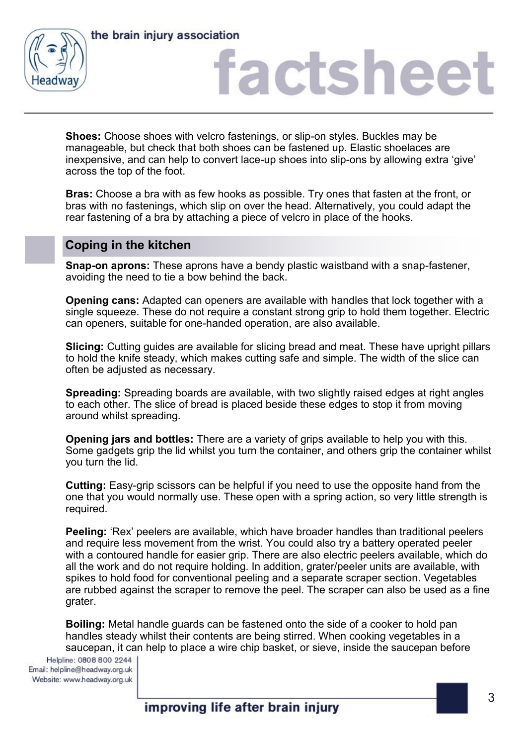



## factshee

**Shoes:** Choose shoes with velcro fastenings, or slip-on styles. Buckles may be manageable, but check that both shoes can be fastened up. Elastic shoelaces are inexpensive, and can help to convert lace-up shoes into slip-ons by allowing extra 'give' across the top of the foot.

**Bras:** Choose a bra with as few hooks as possible. Try ones that fasten at the front, or bras with no fastenings, which slip on over the head. Alternatively, you could adapt the rear fastening of a bra by attaching a piece of velcro in place of the hooks.

## **Coping in the kitchen**

**Snap-on aprons:** These aprons have a bendy plastic waistband with a snap-fastener, avoiding the need to tie a bow behind the back.

**Opening cans:** Adapted can openers are available with handles that lock together with a single squeeze. These do not require a constant strong grip to hold them together. Electric can openers, suitable for one-handed operation, are also available.

**Slicing:** Cutting guides are available for slicing bread and meat. These have upright pillars to hold the knife steady, which makes cutting safe and simple. The width of the slice can often be adjusted as necessary.

**Spreading:** Spreading boards are available, with two slightly raised edges at right angles to each other. The slice of bread is placed beside these edges to stop it from moving around whilst spreading.

**Opening jars and bottles:** There are a variety of grips available to help you with this. Some gadgets grip the lid whilst you turn the container, and others grip the container whilst you turn the lid.

**Cutting:** Easy-grip scissors can be helpful if you need to use the opposite hand from the one that you would normally use. These open with a spring action, so very little strength is required.

**Peeling:** 'Rex' peelers are available, which have broader handles than traditional peelers and require less movement from the wrist. You could also try a battery operated peeler with a contoured handle for easier grip. There are also electric peelers available, which do all the work and do not require holding. In addition, grater/peeler units are available, with spikes to hold food for conventional peeling and a separate scraper section. Vegetables are rubbed against the scraper to remove the peel. The scraper can also be used as a fine grater.

**Boiling:** Metal handle guards can be fastened onto the side of a cooker to hold pan handles steady whilst their contents are being stirred. When cooking vegetables in a saucepan, it can help to place a wire chip basket, or sieve, inside the saucepan before

Helpline: 0808 800 2244 Email: helpline@headway.org.uk Website: www.headway.org.uk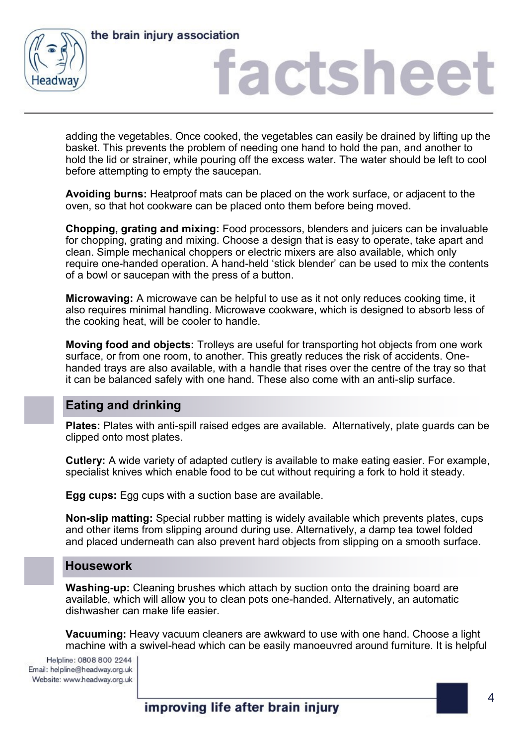



## iactshee

adding the vegetables. Once cooked, the vegetables can easily be drained by lifting up the basket. This prevents the problem of needing one hand to hold the pan, and another to hold the lid or strainer, while pouring off the excess water. The water should be left to cool before attempting to empty the saucepan.

**Avoiding burns:** Heatproof mats can be placed on the work surface, or adjacent to the oven, so that hot cookware can be placed onto them before being moved.

**Chopping, grating and mixing:** Food processors, blenders and juicers can be invaluable for chopping, grating and mixing. Choose a design that is easy to operate, take apart and clean. Simple mechanical choppers or electric mixers are also available, which only require one-handed operation. A hand-held 'stick blender' can be used to mix the contents of a bowl or saucepan with the press of a button.

**Microwaving:** A microwave can be helpful to use as it not only reduces cooking time, it also requires minimal handling. Microwave cookware, which is designed to absorb less of the cooking heat, will be cooler to handle.

**Moving food and objects:** Trolleys are useful for transporting hot objects from one work surface, or from one room, to another. This greatly reduces the risk of accidents. Onehanded trays are also available, with a handle that rises over the centre of the tray so that it can be balanced safely with one hand. These also come with an anti-slip surface.

### **Eating and drinking**

**Plates:** Plates with anti-spill raised edges are available. Alternatively, plate guards can be clipped onto most plates.

**Cutlery:** A wide variety of adapted cutlery is available to make eating easier. For example, specialist knives which enable food to be cut without requiring a fork to hold it steady.

**Egg cups:** Egg cups with a suction base are available.

**Non-slip matting:** Special rubber matting is widely available which prevents plates, cups and other items from slipping around during use. Alternatively, a damp tea towel folded and placed underneath can also prevent hard objects from slipping on a smooth surface.

### **Housework**

**Washing-up:** Cleaning brushes which attach by suction onto the draining board are available, which will allow you to clean pots one-handed. Alternatively, an automatic dishwasher can make life easier.

**Vacuuming:** Heavy vacuum cleaners are awkward to use with one hand. Choose a light machine with a swivel-head which can be easily manoeuvred around furniture. It is helpful

Helpline: 0808 800 2244 Email: helpline@headway.org.uk Website: www.headway.org.uk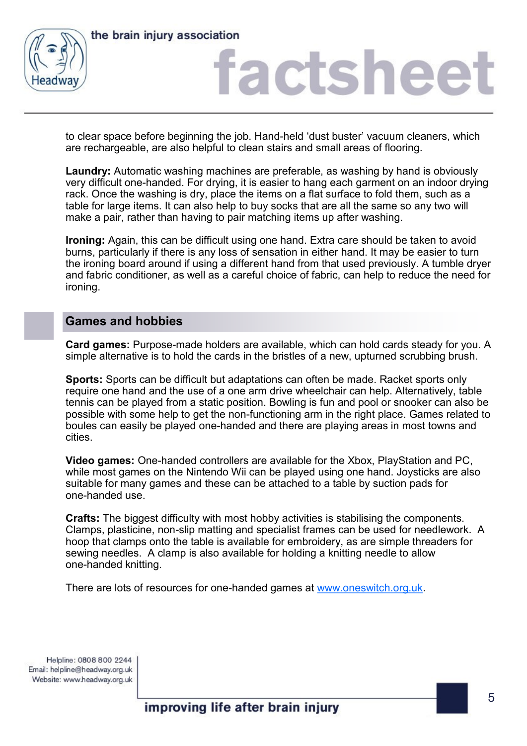

the brain injury association

## actshee

to clear space before beginning the job. Hand-held 'dust buster' vacuum cleaners, which are rechargeable, are also helpful to clean stairs and small areas of flooring.

**Laundry:** Automatic washing machines are preferable, as washing by hand is obviously very difficult one-handed. For drying, it is easier to hang each garment on an indoor drying rack. Once the washing is dry, place the items on a flat surface to fold them, such as a table for large items. It can also help to buy socks that are all the same so any two will make a pair, rather than having to pair matching items up after washing.

**Ironing:** Again, this can be difficult using one hand. Extra care should be taken to avoid burns, particularly if there is any loss of sensation in either hand. It may be easier to turn the ironing board around if using a different hand from that used previously. A tumble dryer and fabric conditioner, as well as a careful choice of fabric, can help to reduce the need for ironing.

### **Games and hobbies**

**Card games:** Purpose-made holders are available, which can hold cards steady for you. A simple alternative is to hold the cards in the bristles of a new, upturned scrubbing brush.

**Sports:** Sports can be difficult but adaptations can often be made. Racket sports only require one hand and the use of a one arm drive wheelchair can help. Alternatively, table tennis can be played from a static position. Bowling is fun and pool or snooker can also be possible with some help to get the non-functioning arm in the right place. Games related to boules can easily be played one-handed and there are playing areas in most towns and cities.

**Video games:** One-handed controllers are available for the Xbox, PlayStation and PC, while most games on the Nintendo Wii can be played using one hand. Joysticks are also suitable for many games and these can be attached to a table by suction pads for one-handed use.

**Crafts:** The biggest difficulty with most hobby activities is stabilising the components. Clamps, plasticine, non-slip matting and specialist frames can be used for needlework. A hoop that clamps onto the table is available for embroidery, as are simple threaders for sewing needles. A clamp is also available for holding a knitting needle to allow one-handed knitting.

There are lots of resources for one-handed games at [www.oneswitch.org.uk.](http://www.oneswitch.org.uk)

Helpline: 0808 800 2244 Email: helpline@headway.org.uk Website: www.headway.org.uk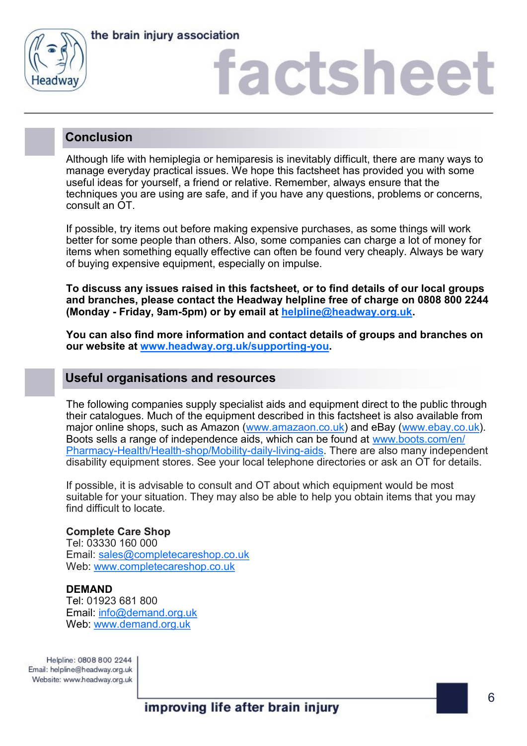

the brain injury association

# **factshee**

## **Conclusion**

Although life with hemiplegia or hemiparesis is inevitably difficult, there are many ways to manage everyday practical issues. We hope this factsheet has provided you with some useful ideas for yourself, a friend or relative. Remember, always ensure that the techniques you are using are safe, and if you have any questions, problems or concerns, consult an OT.

If possible, try items out before making expensive purchases, as some things will work better for some people than others. Also, some companies can charge a lot of money for items when something equally effective can often be found very cheaply. Always be wary of buying expensive equipment, especially on impulse.

**To discuss any issues raised in this factsheet, or to find details of our local groups and branches, please contact the Headway helpline free of charge on 0808 800 2244 (Monday - Friday, 9am-5pm) or by email at [helpline@headway.org.uk.](mailto:helpline@headway.org.uk)** 

**You can also find more information and contact details of groups and branches on our website at [www.headway.org.uk/supporting](https://www.headway.org.uk/supporting-you/in-your-area/groups-and-branches/)-you.** 

## **Useful organisations and resources**

The following companies supply specialist aids and equipment direct to the public through their catalogues. Much of the equipment described in this factsheet is also available from major online shops, such as Amazon [\(www.amazaon.co.uk\)](https://www.amazon.co.uk/) and eBay [\(www.ebay.co.uk\).](https://www.ebay.co.uk/) Boots sells a range of independence aids, which can be found at [www.boots.com/en/](http://www.boots.com/en/Pharmacy-Health/Health-shop/Mobility-daily-living-aids) Pharmacy-[Health/Health](http://www.boots.com/en/Pharmacy-Health/Health-shop/Mobility-daily-living-aids)-shop/Mobility-daily-living-aids. There are also many independent disability equipment stores. See your local telephone directories or ask an OT for details.

If possible, it is advisable to consult and OT about which equipment would be most suitable for your situation. They may also be able to help you obtain items that you may find difficult to locate.

### **Complete Care Shop**

Tel: 03330 160 000 Email: [sales@completecareshop.co.uk](mailto:sales@completecareshop.co.uk) Web: [www.completecareshop.co.uk](http://www.completecareshop.co.uk)

### **DEMAND**

Tel: 01923 681 800 Email: [info@demand.org.uk](mailto:info@demand.org.uk) Web: [www.demand.org.uk](http://www.demand.org.uk)

Helpline: 0808 800 2244 Email: helpline@headway.org.uk Website: www.headway.org.uk